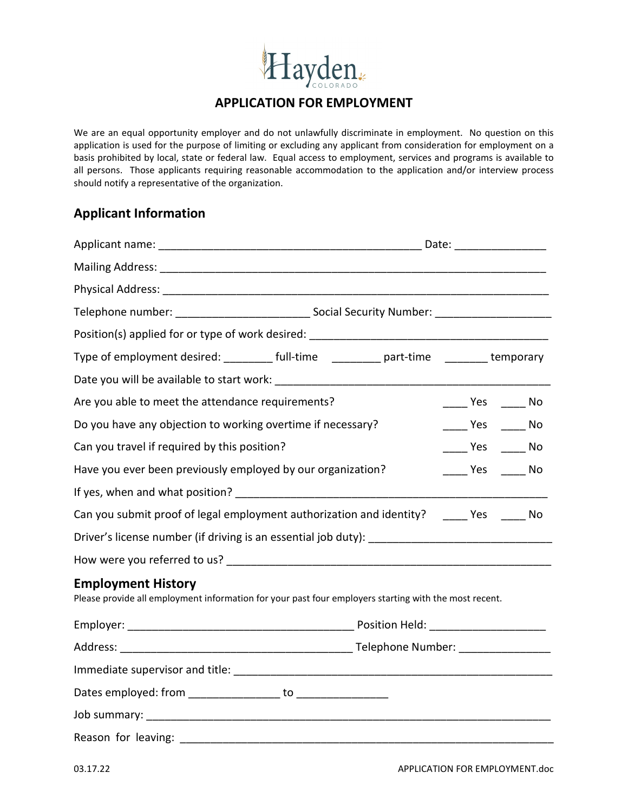# Hayden.

## **APPLICATION FOR EMPLOYMENT**

We are an equal opportunity employer and do not unlawfully discriminate in employment. No question on this application is used for the purpose of limiting or excluding any applicant from consideration for employment on a basis prohibited by local, state or federal law. Equal access to employment, services and programs is available to all persons. Those applicants requiring reasonable accommodation to the application and/or interview process should notify a representative of the organization.

## **Applicant Information**

|                                                                                                                                                                                                                                | Date: ___________________                                                         |  |  |  |  |  |  |
|--------------------------------------------------------------------------------------------------------------------------------------------------------------------------------------------------------------------------------|-----------------------------------------------------------------------------------|--|--|--|--|--|--|
|                                                                                                                                                                                                                                |                                                                                   |  |  |  |  |  |  |
|                                                                                                                                                                                                                                |                                                                                   |  |  |  |  |  |  |
|                                                                                                                                                                                                                                |                                                                                   |  |  |  |  |  |  |
|                                                                                                                                                                                                                                | Position(s) applied for or type of work desired: ________________________________ |  |  |  |  |  |  |
|                                                                                                                                                                                                                                | Type of employment desired: Type of emporary                                      |  |  |  |  |  |  |
|                                                                                                                                                                                                                                |                                                                                   |  |  |  |  |  |  |
| Are you able to meet the attendance requirements?                                                                                                                                                                              | _____ Yes ______ No                                                               |  |  |  |  |  |  |
| Do you have any objection to working overtime if necessary?                                                                                                                                                                    | $\frac{1}{\sqrt{1-\frac{1}{2}}}$ Yes $\frac{1}{\sqrt{1-\frac{1}{2}}}$ No          |  |  |  |  |  |  |
| Can you travel if required by this position?                                                                                                                                                                                   | _____ Yes ______ No                                                               |  |  |  |  |  |  |
| Have you ever been previously employed by our organization?                                                                                                                                                                    | No Ves No                                                                         |  |  |  |  |  |  |
|                                                                                                                                                                                                                                |                                                                                   |  |  |  |  |  |  |
| Can you submit proof of legal employment authorization and identity? Thes The No                                                                                                                                               |                                                                                   |  |  |  |  |  |  |
|                                                                                                                                                                                                                                |                                                                                   |  |  |  |  |  |  |
| How were you referred to us? The same state of the state of the state of the state of the state of the state o                                                                                                                 |                                                                                   |  |  |  |  |  |  |
| <b>Employment History</b><br>Please provide all employment information for your past four employers starting with the most recent.                                                                                             |                                                                                   |  |  |  |  |  |  |
|                                                                                                                                                                                                                                |                                                                                   |  |  |  |  |  |  |
|                                                                                                                                                                                                                                |                                                                                   |  |  |  |  |  |  |
|                                                                                                                                                                                                                                |                                                                                   |  |  |  |  |  |  |
|                                                                                                                                                                                                                                |                                                                                   |  |  |  |  |  |  |
|                                                                                                                                                                                                                                |                                                                                   |  |  |  |  |  |  |
| Reason for leaving: the contract of the contract of the contract of the contract of the contract of the contract of the contract of the contract of the contract of the contract of the contract of the contract of the contra |                                                                                   |  |  |  |  |  |  |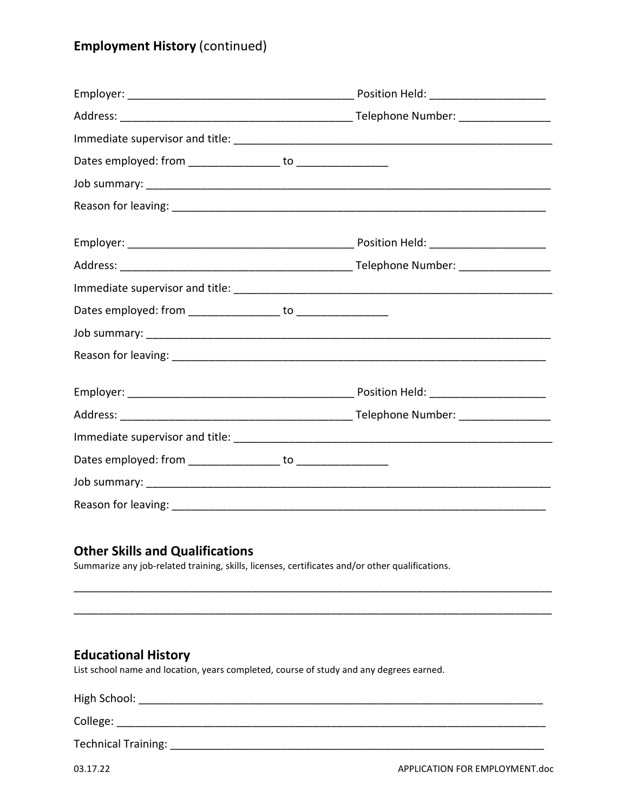## **Employment History** (continued)

## **Other Skills and Qualifications**

Summarize any job-related training, skills, licenses, certificates and/or other qualifications.

## **Educational History**

List school name and location, years completed, course of study and any degrees earned.

| High School: |  |  |
|--------------|--|--|
| College:     |  |  |

\_\_\_\_\_\_\_\_\_\_\_\_\_\_\_\_\_\_\_\_\_\_\_\_\_\_\_\_\_\_\_\_\_\_\_\_\_\_\_\_\_\_\_\_\_\_\_\_\_\_\_\_\_\_\_\_\_\_\_\_\_\_\_\_\_\_\_\_\_\_\_\_\_\_\_\_\_\_

\_\_\_\_\_\_\_\_\_\_\_\_\_\_\_\_\_\_\_\_\_\_\_\_\_\_\_\_\_\_\_\_\_\_\_\_\_\_\_\_\_\_\_\_\_\_\_\_\_\_\_\_\_\_\_\_\_\_\_\_\_\_\_\_\_\_\_\_\_\_\_\_\_\_\_\_\_\_

Technical Training: \_\_\_\_\_\_\_\_\_\_\_\_\_\_\_\_\_\_\_\_\_\_\_\_\_\_\_\_\_\_\_\_\_\_\_\_\_\_\_\_\_\_\_\_\_\_\_\_\_\_\_\_\_\_\_\_\_\_\_\_\_